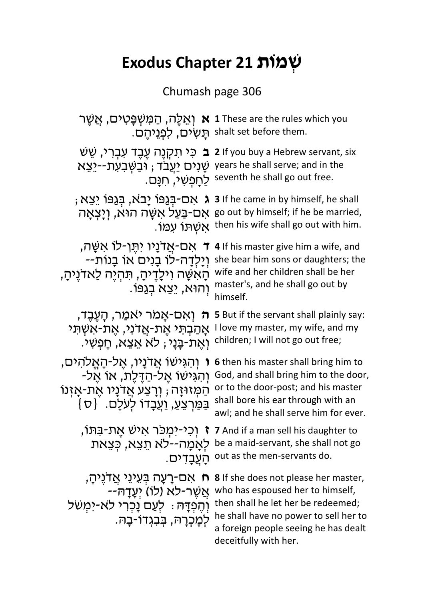## **תִּוֹת 21 Exodus Chapter**

## Chumash page 306

|                                                                                                                                                                | יאַלֶּה, הַמַּשְׁפָּטִים, אֲשֵׁר <b>x</b> 1 These are the rules which you<br>.shalt set before them תַּשְׂים, לְפְגֵיהֵם.                                                                                                |
|----------------------------------------------------------------------------------------------------------------------------------------------------------------|--------------------------------------------------------------------------------------------------------------------------------------------------------------------------------------------------------------------------|
| שָׁנִיּם יַעֲבֹד ; וּבַשְּׁבִעְתֹּ--יַצֵא years he shall serve; and in the                                                                                     | י ב כֵּי תִקְנֶה עֶבֶד עִבְרִי, שֵׁשׁ 2 If you buy a Hebrew servant, six<br>.seventh he shall go out free לַחֲפָשִׁי, חִנָּם.                                                                                            |
|                                                                                                                                                                | ; בְּגַפּוֹ יָבֹא, בְּגַפּוֹ יָבָא, בְּגַפּוֹ k אָס-בְּגַפּוֹ יָבא, בְּגַפּוֹ יִצָּא<br>אָם-בַּעַל אִשָּׁה הוּא, וְיָצְאָה go out by himself; if he be married,<br>.אַשְׁתָּן עְמוֹ then his wife shall go out with him. |
| ד אם-אֲדנַיו יתֵן-לוֹ אשֵׁה,<br>יִיַלְדָה-לוֹ בָנִים אוֹ בָנוֹת--<br>הָאשָׁה וִילָדֶיהָ, תִּהְיֶה לַאדֹנֵיהַ,<br>ּוְהוּא, יֵצֵא בְגַפּוֹ                       | 4 If his master give him a wife, and<br>she bear him sons or daughters; the<br>wife and her children shall be her<br>master's, and he shall go out by<br>himself.                                                        |
| ּה וְאִם-אָמר יֹאמַר, הָעֶבֶד,<br>אַהַבִתִּי אֵת-אֲדני, אֵת-אִשְׁתִּי<br>ּוְאֵת-בָּנַי; לֹא אֵצֵא, חַפְשִׁי.                                                   | 5 But if the servant shall plainly say:<br>I love my master, my wife, and my<br>children; I will not go out free;                                                                                                        |
| ּוְהגִישׂוֹ אֲדֹנָיו, אֱל-הָאֱלֹהִים,<br>ּוְהגִישׁוֹ אֵל-הַדֶּלֶת, אוֹ אֵל-<br>הַמְּזוּזָה; וְרָצַע אֲדנָיו אֶת-אָזִנוֹ<br>בַּמַּרְצְעַ, וַעֲבָדוֹ לְעֹלֶם. {ס | 6 then his master shall bring him to<br>God, and shall bring him to the door,<br>or to the door-post; and his master<br>shall bore his ear through with an<br>awl; and he shall serve him for ever.                      |
| ּהַעֲבַדִים.                                                                                                                                                   | ז וְכֵי-יִמְכֹּר אישׁ אֶת-בַּתּוֹ, ז קוֹ 7 And if a man sell his daughter to<br>לאַמַה־-לֹא תֵצֵא, כְּצֵאת be a maid-servant, she shall not go<br>out as the men-servants do.                                            |
| ּח אַם-רָעָה בִּעֵינֵי אֲדֹנֵיהָ,<br>-אַשֶׁר-לא (לו) יְעֲדַהִּ<br>וְהֶפְדָּהּ: לְעַם נָכְרִי לֹא-יִמְשׁל<br>לִמָכְרָה, בִּבְגְדוֹ-בַה.                         | 8 If she does not please her master,<br>who has espoused her to himself,<br>then shall he let her be redeemed;<br>he shall have no power to sell her to<br>a foreign people seeing he has dealt<br>deceitfully with her. |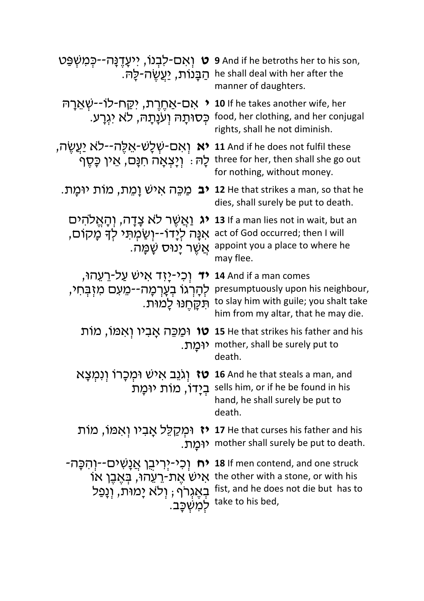| ט וְאִם-לִבְנוֹ, יִיעָדֶנָּה--כְּמִשְׁפַּט<br>ּהַבָּנוֹת, <u>יַעֲ</u> שֶׂה-לַה.                                       | 9 And if he betroths her to his son,<br>he shall deal with her after the<br>manner of daughters.                                             |
|-----------------------------------------------------------------------------------------------------------------------|----------------------------------------------------------------------------------------------------------------------------------------------|
| אם-אַחֶרֶת, יקַח-לוֹ--שְׁאֶרָהּ<br>כִּסוּתָה וְעֹנָתָה, לֹא יגִרַע.                                                   | 10 If he takes another wife, her<br>food, her clothing, and her conjugal<br>rights, shall he not diminish.                                   |
| <b>יא</b> ואָם-שְׁלָשׁ-אֵלֶּה--לֹא יַעֲשֶׂה,<br>ַלָהּ : וְיָצְאָה חִנָּם, אֵין כָּסֶף                                 | 11 And if he does not fulfil these<br>three for her, then shall she go out<br>for nothing, without money.                                    |
| <b>יב</b> מַכֵּה אישׁ וַמֵת, מוֹת יוּמַת.                                                                             | 12 He that strikes a man, so that he<br>dies, shall surely be put to death.                                                                  |
| יג וַאֲשֶׁר לֹא צַדַּה, וְהַאֱלֹהִים<br>אַנָּה לְיַדוֹ--וְשַׂמְתִּי לְךָ מָקוֹם,<br>ּאֲשֶׁר יָנוּס שַַׂמֲה.           | 13 If a man lies not in wait, but an<br>act of God occurred; then I will<br>appoint you a place to where he<br>may flee.                     |
| יד וְכִי-יָזָד אישׁ עַל-רֵעֳהוּ,<br>לְהָרְגוֹ בְעָרְמָה--מֵעִם מִזְבָּחִי,<br>תִּקַחֲנוּ לָמוּת.                      | 14 And if a man comes<br>presumptuously upon his neighbour,<br>to slay him with guile; you shalt take<br>him from my altar, that he may die. |
| <b>טו</b> וּמַכֵּה אָביו וְאמּוֹ, מוֹת<br>יומַת.                                                                      | 15 He that strikes his father and his<br>mother, shall be surely put to<br>death.                                                            |
| ַ <b>טז</b> וְגֹּנֵב אישׁ וּמְכָרוֹ וְנִמְצָא<br>ַבְיָדוֹ, מוֹת יוּמַת                                                | 16 And he that steals a man, and<br>sells him, or if he be found in his<br>hand, he shall surely be put to<br>death.                         |
|                                                                                                                       | יִמְקַלֵּל אָבִיו וְאִמוֹ, מוֹת 17 He that curses his father and his<br>ירְמַת. mother shall surely be put to death.                         |
| <b>יח</b> וְכִי-יְרִיבֵן אֲנָשִׁים--וִהְכָּה-<br>ֹאישׁ אֵת-רֵעֲהוּ, בִּאֲבֵן אוֹ<br>בְאֵגְרֵף ; וְלֹא יָמוּת, וְנָפַל | 18 If men contend, and one struck<br>the other with a stone, or with his<br>fist, and he does not die but has to<br>למשכב. take to his bed,  |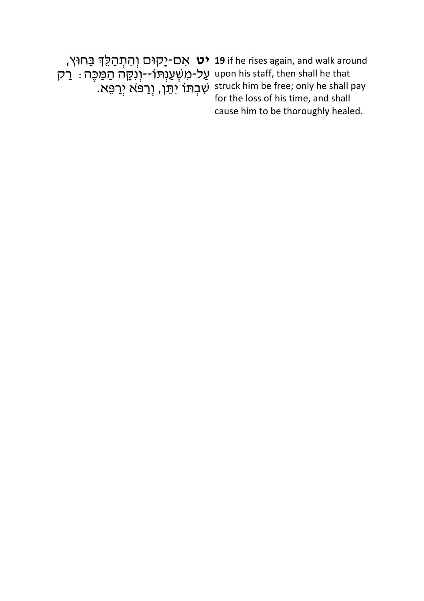עַל-מִשְׁעַנְתּוֹ--וְנִקָּה הַמַּכֶּה : רַק שִׁבְתּוֹ יִתֵּן, וְרַפֹּּא יְרַפֵּא.

**יט אַם-יָקוּם וְהִתְהַלֵּךְ בַּחוּץ, 19** if he rises again, and walk around upon his staff, then shall he that struck him be free; only he shall pay for the loss of his time, and shall cause him to be thoroughly healed.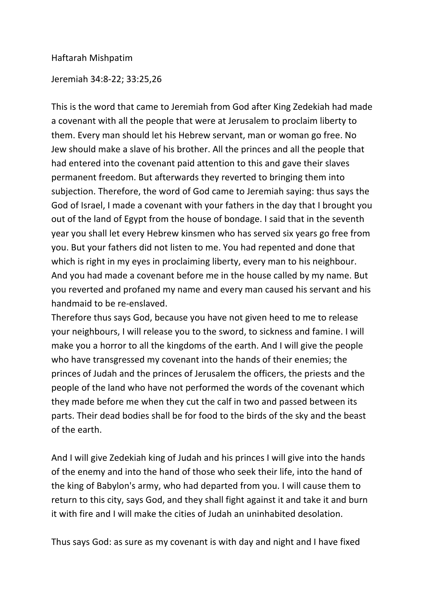## Haftarah Mishpatim

Jeremiah 34:8-22; 33:25,26

This is the word that came to Jeremiah from God after King Zedekiah had made a covenant with all the people that were at Jerusalem to proclaim liberty to them. Every man should let his Hebrew servant, man or woman go free. No Jew should make a slave of his brother. All the princes and all the people that had entered into the covenant paid attention to this and gave their slaves permanent freedom. But afterwards they reverted to bringing them into subjection. Therefore, the word of God came to Jeremiah saying: thus says the God of Israel, I made a covenant with your fathers in the day that I brought you out of the land of Egypt from the house of bondage. I said that in the seventh year you shall let every Hebrew kinsmen who has served six years go free from you. But your fathers did not listen to me. You had repented and done that which is right in my eyes in proclaiming liberty, every man to his neighbour. And you had made a covenant before me in the house called by my name. But you reverted and profaned my name and every man caused his servant and his handmaid to be re-enslaved.

Therefore thus says God, because you have not given heed to me to release your neighbours, I will release you to the sword, to sickness and famine. I will make you a horror to all the kingdoms of the earth. And I will give the people who have transgressed my covenant into the hands of their enemies; the princes of Judah and the princes of Jerusalem the officers, the priests and the people of the land who have not performed the words of the covenant which they made before me when they cut the calf in two and passed between its parts. Their dead bodies shall be for food to the birds of the sky and the beast of the earth.

And I will give Zedekiah king of Judah and his princes I will give into the hands of the enemy and into the hand of those who seek their life, into the hand of the king of Babylon's army, who had departed from you. I will cause them to return to this city, says God, and they shall fight against it and take it and burn it with fire and I will make the cities of Judah an uninhabited desolation.

Thus says God: as sure as my covenant is with day and night and I have fixed